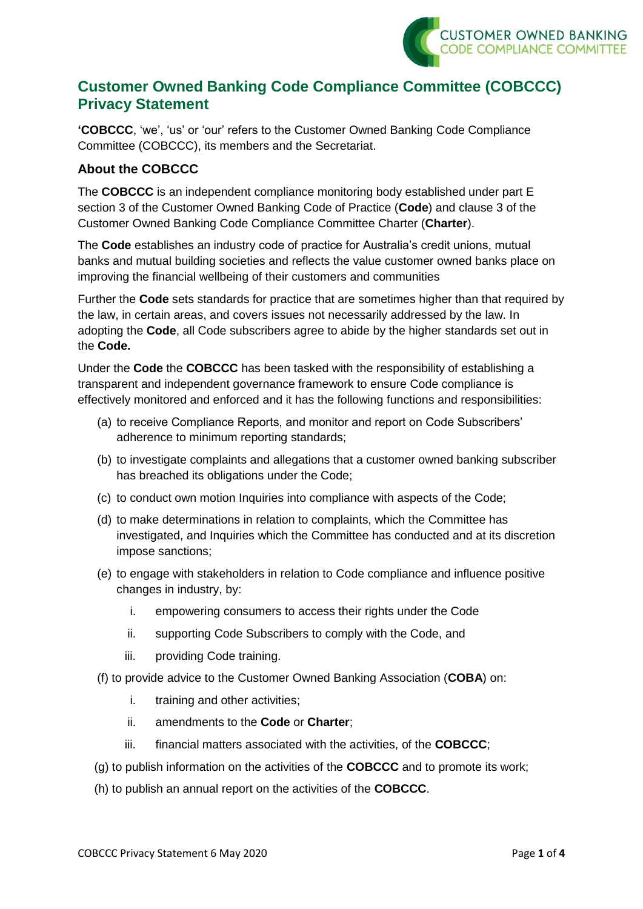

# **Customer Owned Banking Code Compliance Committee (COBCCC) Privacy Statement**

**'COBCCC**, 'we', 'us' or 'our' refers to the Customer Owned Banking Code Compliance Committee (COBCCC), its members and the Secretariat.

### **About the COBCCC**

The **COBCCC** is an independent compliance monitoring body established under part E section 3 of the Customer Owned Banking Code of Practice (**Code**) and clause 3 of the Customer Owned Banking Code Compliance Committee Charter (**Charter**).

The **Code** establishes an industry code of practice for Australia's credit unions, mutual banks and mutual building societies and reflects the value customer owned banks place on improving the financial wellbeing of their customers and communities

Further the **Code** sets standards for practice that are sometimes higher than that required by the law, in certain areas, and covers issues not necessarily addressed by the law. In adopting the **Code**, all Code subscribers agree to abide by the higher standards set out in the **Code.**

Under the **Code** the **COBCCC** has been tasked with the responsibility of establishing a transparent and independent governance framework to ensure Code compliance is effectively monitored and enforced and it has the following functions and responsibilities:

- (a) to receive Compliance Reports, and monitor and report on Code Subscribers' adherence to minimum reporting standards;
- (b) to investigate complaints and allegations that a customer owned banking subscriber has breached its obligations under the Code;
- (c) to conduct own motion Inquiries into compliance with aspects of the Code;
- (d) to make determinations in relation to complaints, which the Committee has investigated, and Inquiries which the Committee has conducted and at its discretion impose sanctions;
- (e) to engage with stakeholders in relation to Code compliance and influence positive changes in industry, by:
	- i. empowering consumers to access their rights under the Code
	- ii. supporting Code Subscribers to comply with the Code, and
	- iii. providing Code training.
- (f) to provide advice to the Customer Owned Banking Association (**COBA**) on:
	- i. training and other activities;
	- ii. amendments to the **Code** or **Charter**;
	- iii. financial matters associated with the activities, of the **COBCCC**;
- (g) to publish information on the activities of the **COBCCC** and to promote its work;
- (h) to publish an annual report on the activities of the **COBCCC**.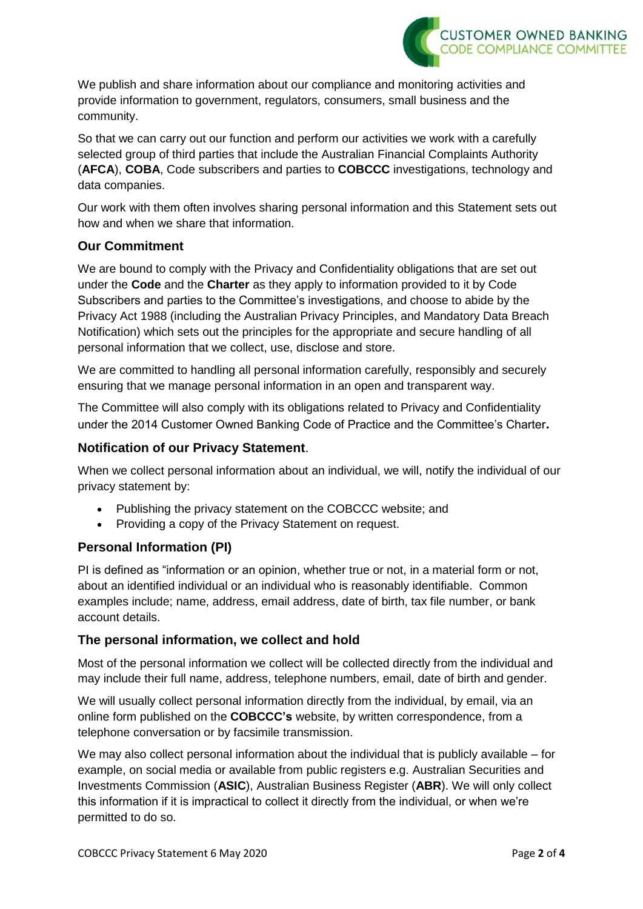

We publish and share information about our compliance and monitoring activities and provide information to government, regulators, consumers, small business and the community.

So that we can carry out our function and perform our activities we work with a carefully selected group of third parties that include the Australian Financial Complaints Authority (**AFCA**), **COBA**, Code subscribers and parties to **COBCCC** investigations, technology and data companies.

Our work with them often involves sharing personal information and this Statement sets out how and when we share that information.

### **Our Commitment**

We are bound to comply with the Privacy and Confidentiality obligations that are set out under the **Code** and the **Charter** as they apply to information provided to it by Code Subscribers and parties to the Committee's investigations, and choose to abide by the Privacy Act 1988 (including the Australian Privacy Principles, and Mandatory Data Breach Notification) which sets out the principles for the appropriate and secure handling of all personal information that we collect, use, disclose and store.

We are committed to handling all personal information carefully, responsibly and securely ensuring that we manage personal information in an open and transparent way.

The Committee will also comply with its obligations related to Privacy and Confidentiality under the 2014 Customer Owned Banking Code of Practice and the Committee's Charter**.**

### **Notification of our Privacy Statement**.

When we collect personal information about an individual, we will, notify the individual of our privacy statement by:

- Publishing the privacy statement on the COBCCC website; and
- Providing a copy of the Privacy Statement on request.

#### **Personal Information (PI)**

PI is defined as "information or an opinion, whether true or not, in a material form or not, about an identified individual or an individual who is reasonably identifiable. Common examples include; name, address, email address, date of birth, tax file number, or bank account details.

#### **The personal information, we collect and hold**

Most of the personal information we collect will be collected directly from the individual and may include their full name, address, telephone numbers, email, date of birth and gender.

We will usually collect personal information directly from the individual, by email, via an online form published on the **COBCCC's** website, by written correspondence, from a telephone conversation or by facsimile transmission.

We may also collect personal information about the individual that is publicly available – for example, on social media or available from public registers e.g. Australian Securities and Investments Commission (**ASIC**), Australian Business Register (**ABR**). We will only collect this information if it is impractical to collect it directly from the individual, or when we're permitted to do so.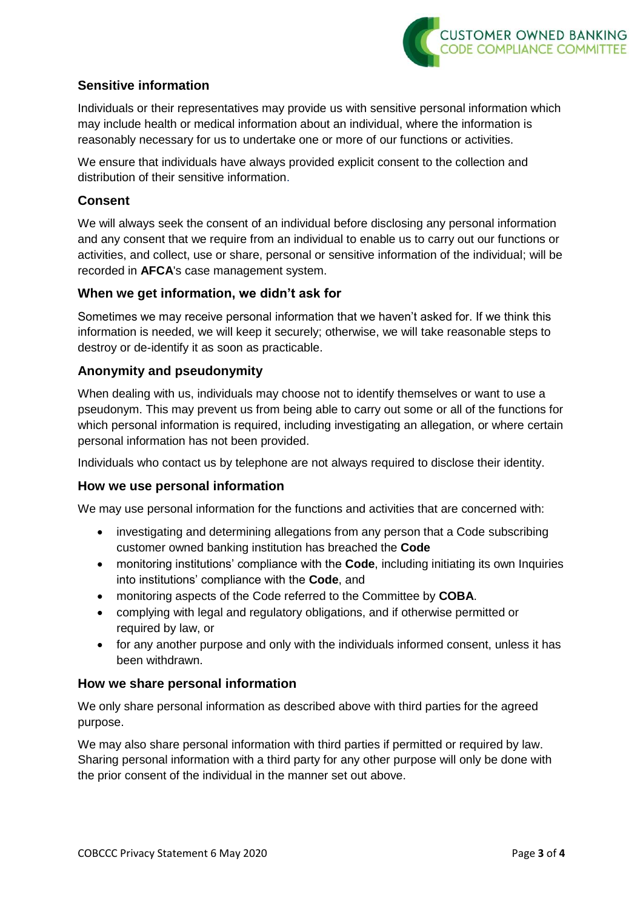

# **Sensitive information**

Individuals or their representatives may provide us with sensitive personal information which may include health or medical information about an individual, where the information is reasonably necessary for us to undertake one or more of our functions or activities.

We ensure that individuals have always provided explicit consent to the collection and distribution of their sensitive information.

### **Consent**

We will always seek the consent of an individual before disclosing any personal information and any consent that we require from an individual to enable us to carry out our functions or activities, and collect, use or share, personal or sensitive information of the individual; will be recorded in **AFCA**'s case management system.

### **When we get information, we didn't ask for**

Sometimes we may receive personal information that we haven't asked for. If we think this information is needed, we will keep it securely; otherwise, we will take reasonable steps to destroy or de-identify it as soon as practicable.

### **Anonymity and pseudonymity**

When dealing with us, individuals may choose not to identify themselves or want to use a pseudonym. This may prevent us from being able to carry out some or all of the functions for which personal information is required, including investigating an allegation, or where certain personal information has not been provided.

Individuals who contact us by telephone are not always required to disclose their identity.

#### **How we use personal information**

We may use personal information for the functions and activities that are concerned with:

- investigating and determining allegations from any person that a Code subscribing customer owned banking institution has breached the **Code**
- monitoring institutions' compliance with the **Code**, including initiating its own Inquiries into institutions' compliance with the **Code**, and
- monitoring aspects of the Code referred to the Committee by **COBA**.
- complying with legal and regulatory obligations, and if otherwise permitted or required by law, or
- for any another purpose and only with the individuals informed consent, unless it has been withdrawn.

#### **How we share personal information**

We only share personal information as described above with third parties for the agreed purpose.

We may also share personal information with third parties if permitted or required by law. Sharing personal information with a third party for any other purpose will only be done with the prior consent of the individual in the manner set out above.